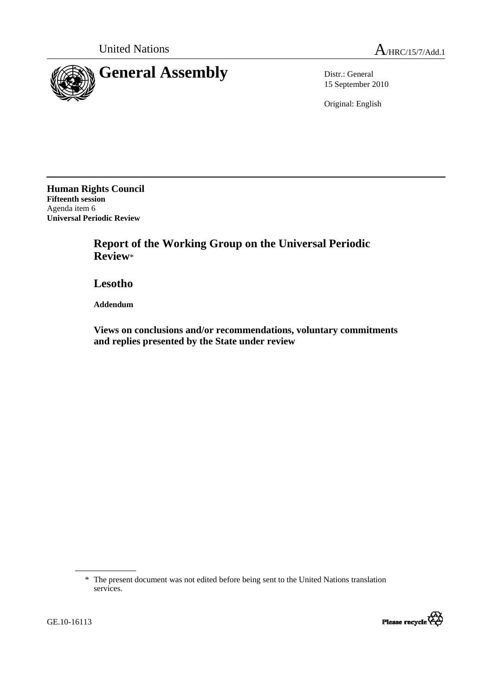

15 September 2010

Original: English

**Human Rights Council Fifteenth session**  Agenda item 6 **Universal Periodic Review**

> **Report of the Working Group on the Universal Periodic Review**\*

 **Lesotho** 

 **Addendum** 

 **Views on conclusions and/or recommendations, voluntary commitments and replies presented by the State under review** 

 <sup>\*</sup> The present document was not edited before being sent to the United Nations translation services.

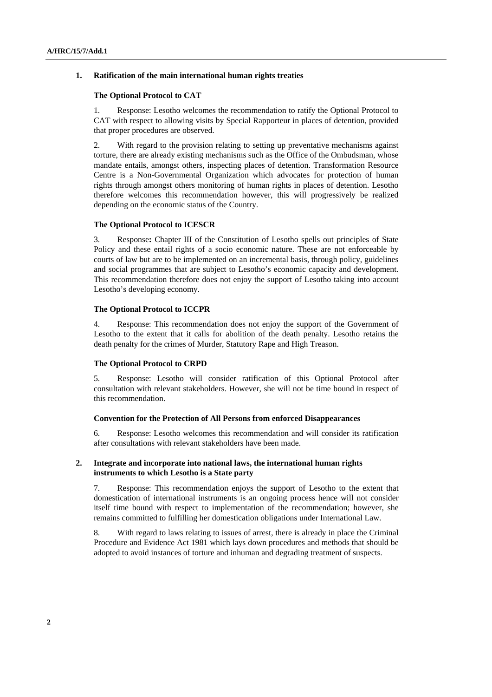## **1. Ratification of the main international human rights treaties**

### **The Optional Protocol to CAT**

1. Response: Lesotho welcomes the recommendation to ratify the Optional Protocol to CAT with respect to allowing visits by Special Rapporteur in places of detention, provided that proper procedures are observed.

2. With regard to the provision relating to setting up preventative mechanisms against torture, there are already existing mechanisms such as the Office of the Ombudsman, whose mandate entails, amongst others, inspecting places of detention. Transformation Resource Centre is a Non-Governmental Organization which advocates for protection of human rights through amongst others monitoring of human rights in places of detention. Lesotho therefore welcomes this recommendation however, this will progressively be realized depending on the economic status of the Country.

#### **The Optional Protocol to ICESCR**

3. Response**:** Chapter III of the Constitution of Lesotho spells out principles of State Policy and these entail rights of a socio economic nature. These are not enforceable by courts of law but are to be implemented on an incremental basis, through policy, guidelines and social programmes that are subject to Lesotho's economic capacity and development. This recommendation therefore does not enjoy the support of Lesotho taking into account Lesotho's developing economy.

### **The Optional Protocol to ICCPR**

4. Response: This recommendation does not enjoy the support of the Government of Lesotho to the extent that it calls for abolition of the death penalty. Lesotho retains the death penalty for the crimes of Murder, Statutory Rape and High Treason.

# **The Optional Protocol to CRPD**

5. Response: Lesotho will consider ratification of this Optional Protocol after consultation with relevant stakeholders. However, she will not be time bound in respect of this recommendation.

#### **Convention for the Protection of All Persons from enforced Disappearances**

6. Response: Lesotho welcomes this recommendation and will consider its ratification after consultations with relevant stakeholders have been made.

### **2. Integrate and incorporate into national laws, the international human rights instruments to which Lesotho is a State party**

7. Response: This recommendation enjoys the support of Lesotho to the extent that domestication of international instruments is an ongoing process hence will not consider itself time bound with respect to implementation of the recommendation; however, she remains committed to fulfilling her domestication obligations under International Law.

8. With regard to laws relating to issues of arrest, there is already in place the Criminal Procedure and Evidence Act 1981 which lays down procedures and methods that should be adopted to avoid instances of torture and inhuman and degrading treatment of suspects.